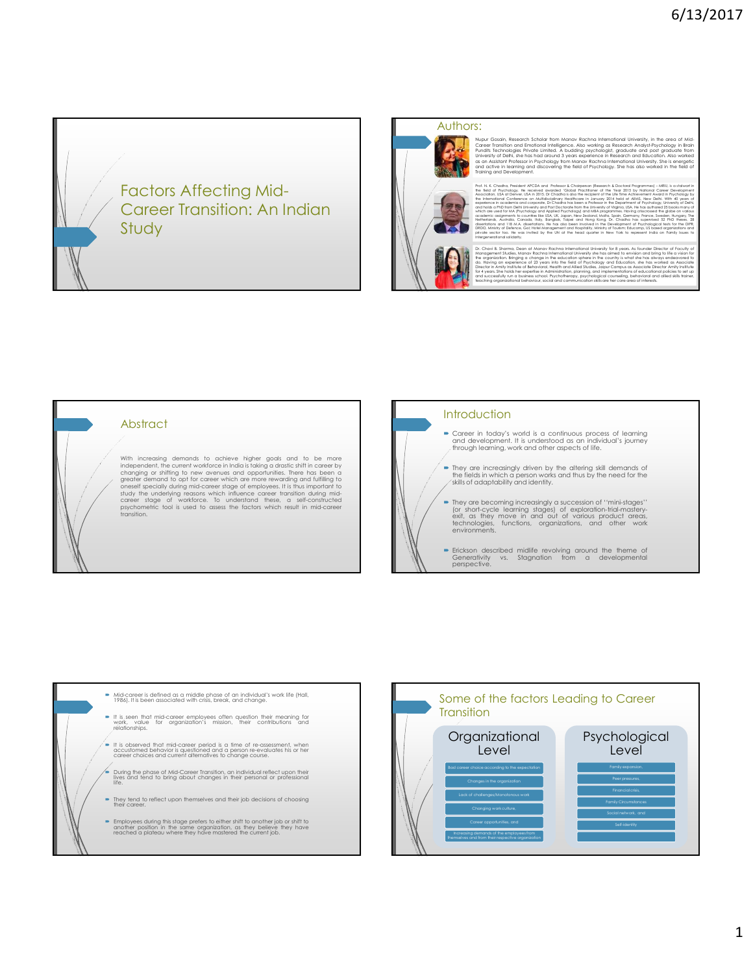

## Authors:

Nupur Gosain, Research Scholar form Manav Racharal International University, in the area of Michael Corear, Ma<br>Career Iransimo and Emstend International Associations and Corear International Scholar International Internati



Dr. Charl B. Shamne, Dean al Monar Rechne International University for 8 years. As bunder Directive of Foculty O<br>Management Suddie, Monar Rachne International University shall be a direct to envision and bring to the origi



## **Abstract**

With increasing demands to achieve higher goals and to be more<br>independent, the current workforce in India is toking a drastic shift in career by<br>changing or shifting to new avenues and opportunities. There has been a<br>grea transition.





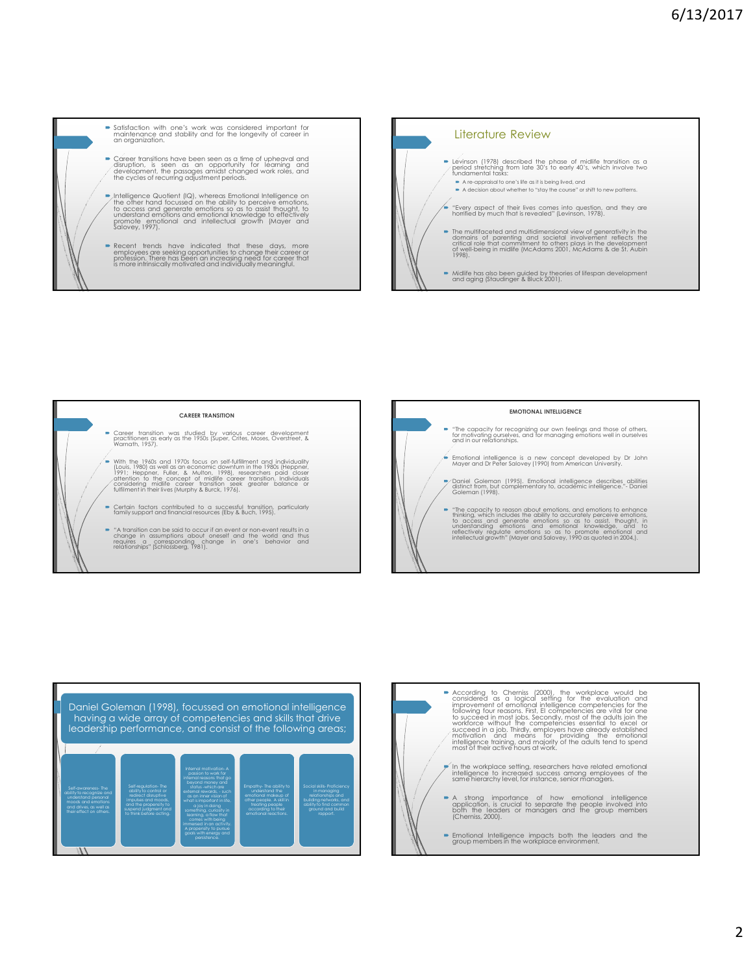





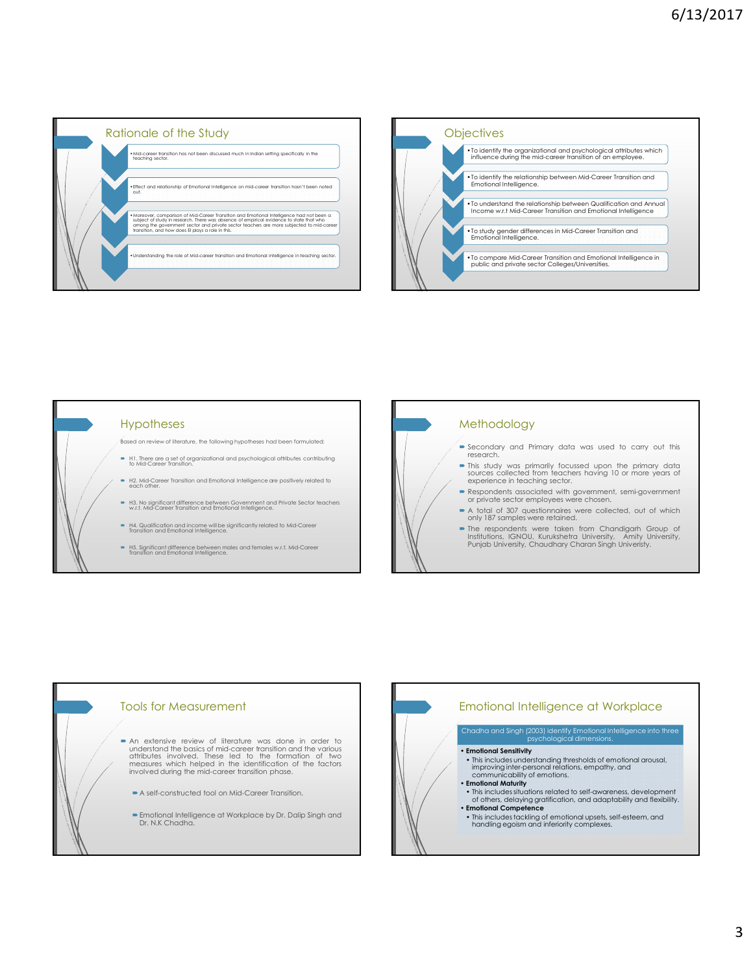







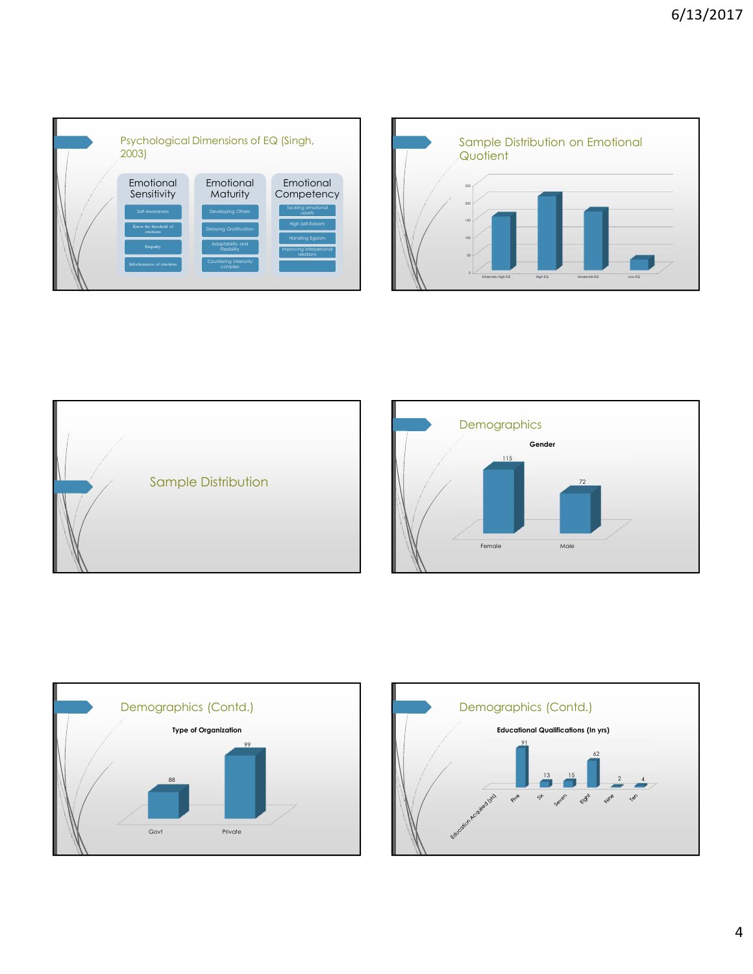







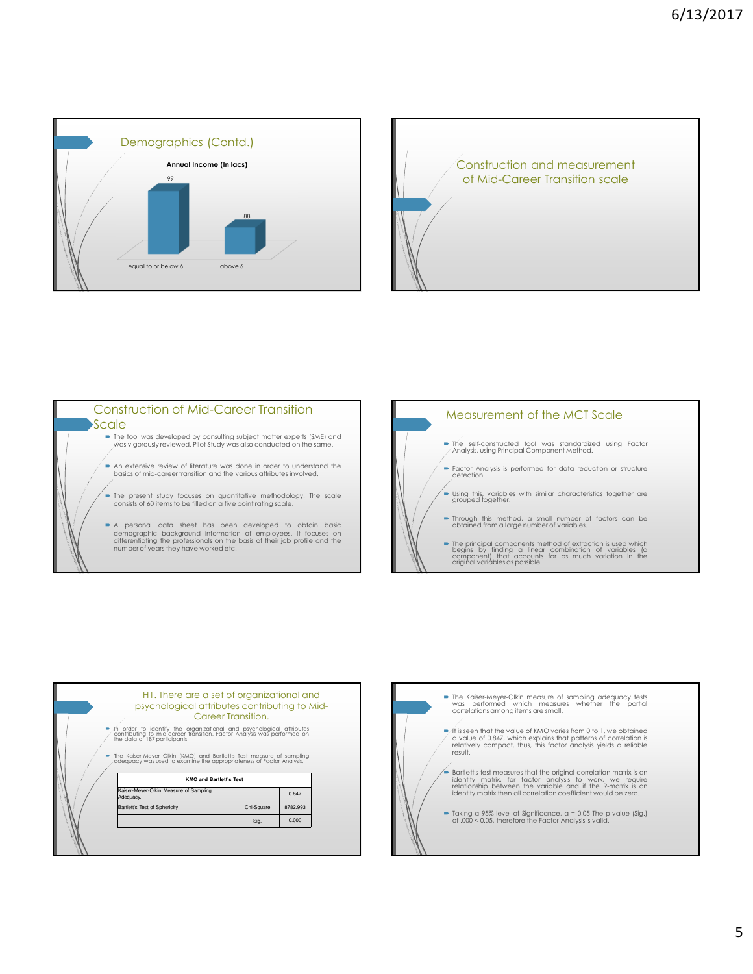









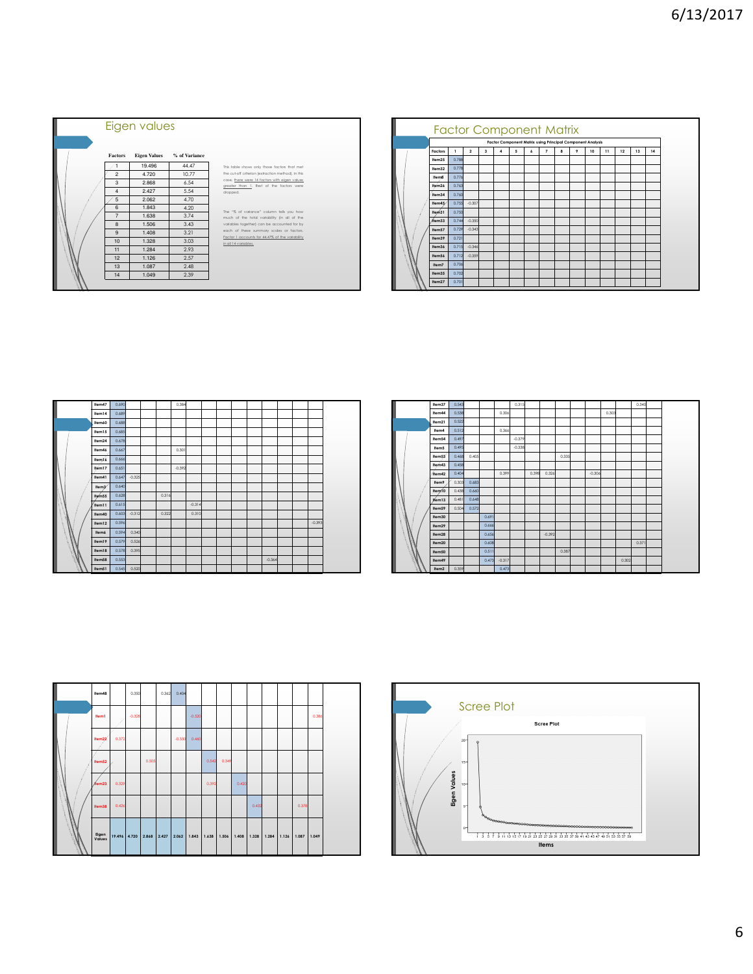

|                    |       |                |   |          |   | <b>Factor Component Matrix</b><br>Factor Component Matrix using Principal Component Analysis |                |   |   |    |    |    |    |    |
|--------------------|-------|----------------|---|----------|---|----------------------------------------------------------------------------------------------|----------------|---|---|----|----|----|----|----|
|                    |       |                |   |          |   |                                                                                              |                |   |   |    |    |    |    |    |
| Factors            | ı.    | $\overline{2}$ | 3 | $\Delta$ | 5 | 6                                                                                            | $\overline{7}$ | 8 | 9 | 10 | 11 | 12 | 13 | 14 |
| Item25             | 0.788 |                |   |          |   |                                                                                              |                |   |   |    |    |    |    |    |
| Item32             | 0.778 |                |   |          |   |                                                                                              |                |   |   |    |    |    |    |    |
| <b>Hem8</b>        | 0.776 |                |   |          |   |                                                                                              |                |   |   |    |    |    |    |    |
| Item <sub>26</sub> | 0.763 |                |   |          |   |                                                                                              |                |   |   |    |    |    |    |    |
| Item34             | 0.760 |                |   |          |   |                                                                                              |                |   |   |    |    |    |    |    |
| Item45             | 0.755 | $-0.307$       |   |          |   |                                                                                              |                |   |   |    |    |    |    |    |
| Item31             | 0.750 |                |   |          |   |                                                                                              |                |   |   |    |    |    |    |    |
| /tem33             | 0.744 | $-0.350$       |   |          |   |                                                                                              |                |   |   |    |    |    |    |    |
| Item57             | 0.729 | $-0.343$       |   |          |   |                                                                                              |                |   |   |    |    |    |    |    |
| Item39             | 0.721 |                |   |          |   |                                                                                              |                |   |   |    |    |    |    |    |
| Item36             | 0.715 | $-0.346$       |   |          |   |                                                                                              |                |   |   |    |    |    |    |    |
| Item56             | 0.712 | $-0.359$       |   |          |   |                                                                                              |                |   |   |    |    |    |    |    |
| Item7              | 0.706 |                |   |          |   |                                                                                              |                |   |   |    |    |    |    |    |
| Item35             | 0.702 |                |   |          |   |                                                                                              |                |   |   |    |    |    |    |    |
| Item27             | 0.701 |                |   |          |   |                                                                                              |                |   |   |    |    |    |    |    |

| ltem47            | 0.690 |             |       | 0.384    |          |  |  |          |  |          |  |
|-------------------|-------|-------------|-------|----------|----------|--|--|----------|--|----------|--|
| llem14            | 0.689 |             |       |          |          |  |  |          |  |          |  |
| Item60            | 0.688 |             |       |          |          |  |  |          |  |          |  |
| llem15            | 0.685 |             |       |          |          |  |  |          |  |          |  |
| llem24            | 0.678 |             |       |          |          |  |  |          |  |          |  |
| ltem46            | 0.667 |             |       | 0.301    |          |  |  |          |  |          |  |
| llem16            | 0.666 |             |       |          |          |  |  |          |  |          |  |
| Item17            | 0.651 |             |       | $-0.392$ |          |  |  |          |  |          |  |
| ltem41            | 0.647 | $-0.325$    |       |          |          |  |  |          |  |          |  |
| Hem3              | 0.640 |             |       |          |          |  |  |          |  |          |  |
| He <sub>ms5</sub> | 0.628 |             | 0.316 |          |          |  |  |          |  |          |  |
| Item11            | 0.615 |             |       |          | $-0.314$ |  |  |          |  |          |  |
| Item40            | 0.603 | $-0.312$    | 0.322 |          | 0.310    |  |  |          |  |          |  |
| Item12            | 0.596 |             |       |          |          |  |  |          |  | $-0.393$ |  |
| Item6             | 0.594 | 0.340       |       |          |          |  |  |          |  |          |  |
| llem19            | 0.579 | 0.526       |       |          |          |  |  |          |  |          |  |
| Item18            | 0.578 | 0.395       |       |          |          |  |  |          |  |          |  |
| Item58            | 0.553 |             |       |          |          |  |  | $-0.364$ |  |          |  |
| Item51            |       | 0.545 0.520 |       |          |          |  |  |          |  |          |  |

| Item37            | 0.543 |       |       |          | 0.315    |       |          |       |          |       |       | 0.340 |  |
|-------------------|-------|-------|-------|----------|----------|-------|----------|-------|----------|-------|-------|-------|--|
| ltem44            | 0.538 |       |       | 0.306    |          |       |          |       |          | 0.303 |       |       |  |
| Item21            | 0.522 |       |       |          |          |       |          |       |          |       |       |       |  |
| ltem4             | 0.512 |       |       | 0.366    |          |       |          |       |          |       |       |       |  |
| Item54            | 0.497 |       |       |          | $-0.379$ |       |          |       |          |       |       |       |  |
| Item5             | 0.495 |       |       |          | $-0.338$ |       |          |       |          |       |       |       |  |
| Item53            | 0.468 | 0.405 |       |          |          |       |          | 0.335 |          |       |       |       |  |
| Item43            | 0.458 |       |       |          |          |       |          |       |          |       |       |       |  |
| item42            | 0.404 |       |       | 0.399    |          | 0.398 | 0.326    |       | $-0.306$ |       |       |       |  |
| ltem9             | 0.303 | 0.683 |       |          |          |       |          |       |          |       |       |       |  |
| Item10            | 0.438 | 0.660 |       |          |          |       |          |       |          |       |       |       |  |
| Wem13             | 0.481 | 0.648 |       |          |          |       |          |       |          |       |       |       |  |
| Item59            | 0.504 | 0.572 |       |          |          |       |          |       |          |       |       |       |  |
| Item30            |       |       | 0.691 |          |          |       |          |       |          |       |       |       |  |
| Item29            |       |       | 0.666 |          |          |       |          |       |          |       |       |       |  |
| Item28            |       |       | 0.656 |          |          |       | $-0.392$ |       |          |       |       |       |  |
| Item20            |       |       | 0.608 |          |          |       |          |       |          |       |       | 0.371 |  |
| Item50            |       |       | 0.511 |          |          |       |          | 0.387 |          |       |       |       |  |
| ltem49            |       |       | 0.473 | $-0.317$ |          |       |          |       |          |       | 0.302 |       |  |
| Item <sub>2</sub> | 0.359 |       |       | 0.473    |          |       |          |       |          |       |       |       |  |

| llem48             |                          | 0.350    |       | 0.362 | 0.404    |          |                                               |       |       |       |                   |       |       |  |
|--------------------|--------------------------|----------|-------|-------|----------|----------|-----------------------------------------------|-------|-------|-------|-------------------|-------|-------|--|
| <b>Heml</b>        |                          | $-0.326$ |       |       |          | $-0.520$ |                                               |       |       |       |                   |       | 0.386 |  |
| llem <sub>22</sub> | 0.372                    |          |       |       | $-0.330$ | 0.460    |                                               |       |       |       |                   |       |       |  |
| Ilem52             |                          |          | 0.505 |       |          |          | 0.542                                         | 0.349 |       |       |                   |       |       |  |
| flem23             | 0.329                    |          |       |       |          |          | 0.392                                         |       | 0.420 |       |                   |       |       |  |
| Ilem38             | 0.426                    |          |       |       |          |          |                                               |       |       | 0.432 |                   | 0.378 |       |  |
| Eigen<br>Values    | 19.496 4.720 2.868 2.427 |          |       |       |          |          | $\vert$ 2.062   1.843   1.638   1.506   1.408 |       |       | 1.328 | 1.284 1.126 1.087 |       | 1.049 |  |

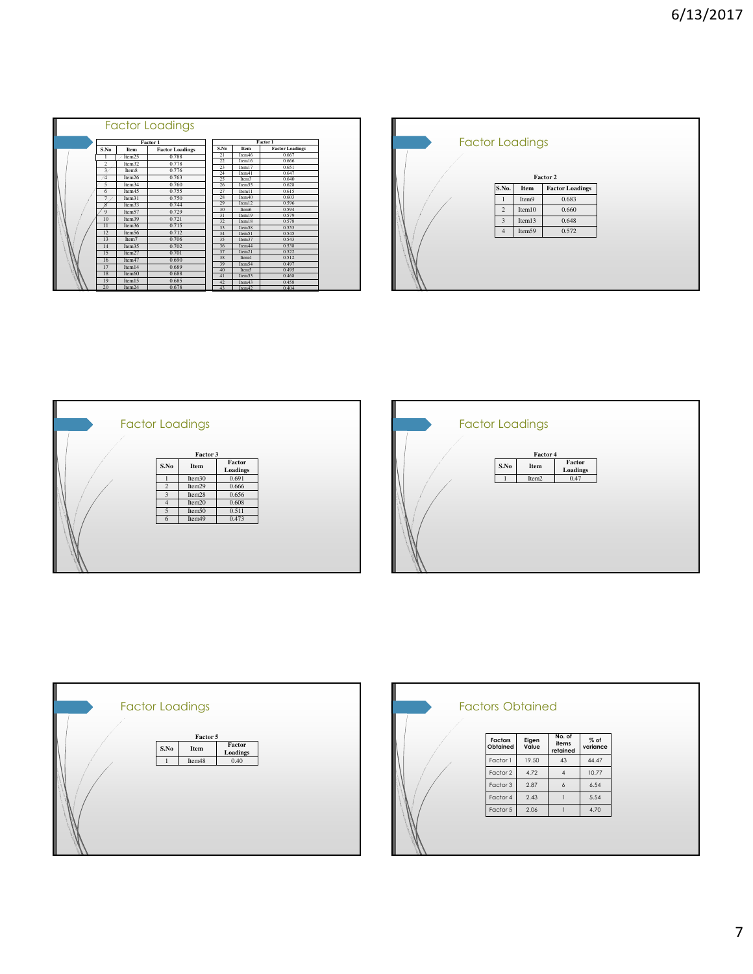|  |                |                    | Factor Loadings        |          |                    |                        |
|--|----------------|--------------------|------------------------|----------|--------------------|------------------------|
|  |                |                    | Factor 1               |          |                    | <b>Factor 1</b>        |
|  | S.No           | Item               | <b>Factor Loadings</b> | S.No     | Item               | <b>Factor Loadings</b> |
|  |                | Item25             | 0.788                  | 21       | Item46             | 0.667                  |
|  | $\overline{2}$ | Item32             | 0.778                  | 22       | Item16             | 0.666                  |
|  | 3              | Item <sub>8</sub>  | 0.776                  | 23       | Item <sub>17</sub> | 0.651                  |
|  | 4              | Item26             | 0.763                  | 24       | Item41             | 0.647                  |
|  |                |                    | 0.760                  | 25       | Item <sub>3</sub>  | 0.640                  |
|  | 5              | Item34             |                        | 26       | Item55             | 0.628                  |
|  | 6              | Item45             | 0.755                  | 27       | Item11             | 0.615                  |
|  | $\overline{7}$ | Item31             | 0.750                  | 28       | Item40             | 0.603                  |
|  | 8              | Item33             | 0.744                  | 29       | Item12             | 0.596                  |
|  | 9              | Item57             | 0.729                  | 30       | Item6              | 0.594                  |
|  | 10             | Item39             | 0.721                  | 31       | Item19             | 0.579                  |
|  | 11             | Item36             | 0.715                  | 32<br>33 | Item18             | 0.578<br>0.553         |
|  | 12             | Item56             | 0.712                  | 34       | Item58<br>Item51   | 0.545                  |
|  | 13             | Item7              | 0.706                  | 35       | Item37             | 0.543                  |
|  | 14             | Item35             | 0.702                  | 36       | Item44             | 0.538                  |
|  |                |                    |                        | 37       | Item <sub>21</sub> | 0.522                  |
|  | 15             | Item27             | 0.701                  | 38       | Item <sub>4</sub>  | 0.512                  |
|  | 16             | Item <sub>47</sub> | 0.690                  | 39       | Item54             | 0.497                  |
|  | 17             | Item 14            | 0.689                  | 40       | Item5              | 0.495                  |
|  | 18             | Item60             | 0.688                  | 41       | Item53             | 0.468                  |
|  | 19             | Item15             | 0.685                  | 42       | Item43             | 0.458                  |
|  | 20             | Item24             | 0.678                  | 43       | Item <sub>42</sub> | 0.404                  |

|                         |        | Factor 2               |
|-------------------------|--------|------------------------|
| S.No.                   | Item   | <b>Factor Loadings</b> |
| 1                       | Item9  | 0.683                  |
| $\overline{c}$          | Item10 | 0.660                  |
| $\overline{\mathbf{3}}$ | Item13 | 0.648                  |
| $\overline{4}$          | Item59 | 0.572                  |



| <b>Factor Loadings</b> |                   |                  |  |  |
|------------------------|-------------------|------------------|--|--|
| S.No                   | Factor 4<br>Item  | Factor           |  |  |
|                        | Item <sub>2</sub> | Loadings<br>0.47 |  |  |
|                        |                   |                  |  |  |
|                        |                   |                  |  |  |



|                     |                | No. of            |                    |  |
|---------------------|----------------|-------------------|--------------------|--|
| Factors<br>Obtained | Eigen<br>Value | items<br>retained | $%$ of<br>variance |  |
| Factor 1            | 19.50          | 43                | 44.47              |  |
| Factor 2            | 4.72           | $\overline{4}$    | 10.77              |  |
| Factor 3            | 2.87           | 6                 | 6.54               |  |
| Factor 4            | 2.43           | 1                 | 5.54               |  |
| Factor 5            | 2.06           | Ĩ                 | 4.70               |  |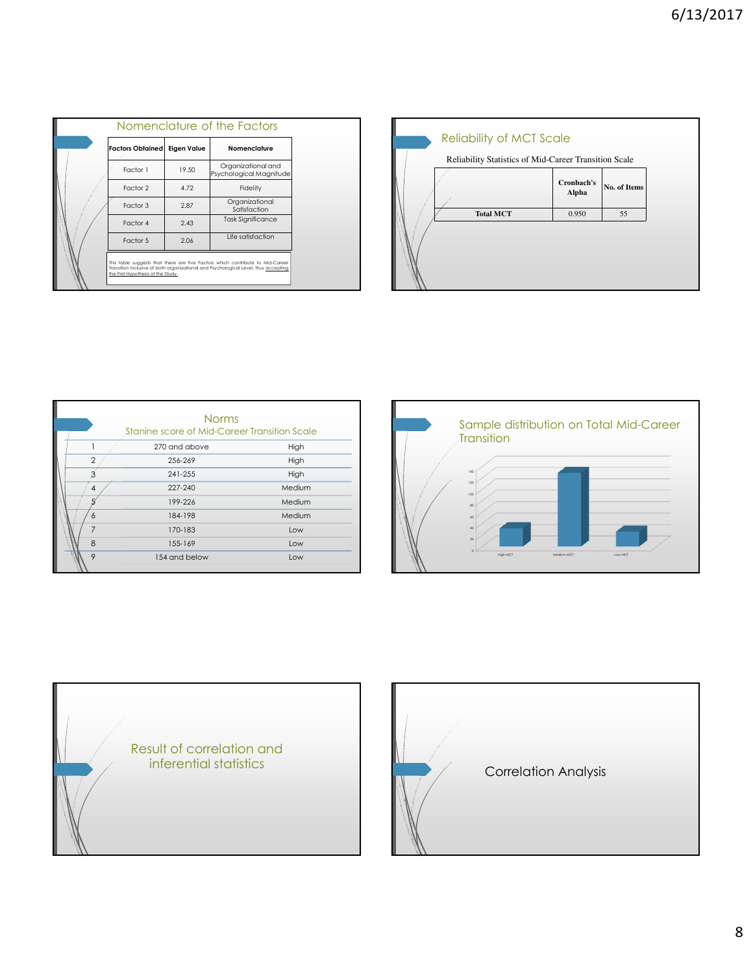|                                    |                    | Nomenclature of the Factors                                                                                                                                           |
|------------------------------------|--------------------|-----------------------------------------------------------------------------------------------------------------------------------------------------------------------|
| <b>Factors Obtained</b>            | <b>Eigen Value</b> | Nomenclature                                                                                                                                                          |
| Factor 1                           | 19.50              | Organizational and<br>Psychological Magnitude                                                                                                                         |
| Factor 2                           | 4.72               | Fidelity                                                                                                                                                              |
| Factor 3                           | 2.87               | Organizational<br>Satisfaction                                                                                                                                        |
| Factor 4                           | 2.43               | <b>Task Significance</b>                                                                                                                                              |
| Factor 5                           | 2.06               | Life satisfaction                                                                                                                                                     |
| the First Hypothesis of the Study. |                    | This table suggests that there are five Factors which contribute to Mid-Career<br>Transition inclusive of both organizational and Psychological Level, thus accepting |

| <b>Reliability of MCT Scale</b><br>Reliability Statistics of Mid-Career Transition Scale |                     |              |
|------------------------------------------------------------------------------------------|---------------------|--------------|
|                                                                                          | Cronbach's<br>Alpha | No. of Items |
| <b>Total MCT</b>                                                                         | 0.950               | 55           |
|                                                                                          |                     |              |

|                | <b>Norms</b><br>Stanine score of Mid-Career Transition Scale |        |
|----------------|--------------------------------------------------------------|--------|
|                |                                                              |        |
|                | 270 and above                                                | High   |
| $\mathfrak{p}$ | 256-269                                                      | High   |
|                | 241-255                                                      | High   |
| 4              | 227-240                                                      | Medium |
|                | 199-226                                                      | Medium |
| 6              | 184-198                                                      | Medium |
| $\overline{7}$ | 170-183                                                      | Low    |
| 8              | 155-169                                                      | Low    |
| $\circ$        | 154 and below                                                | Low    |





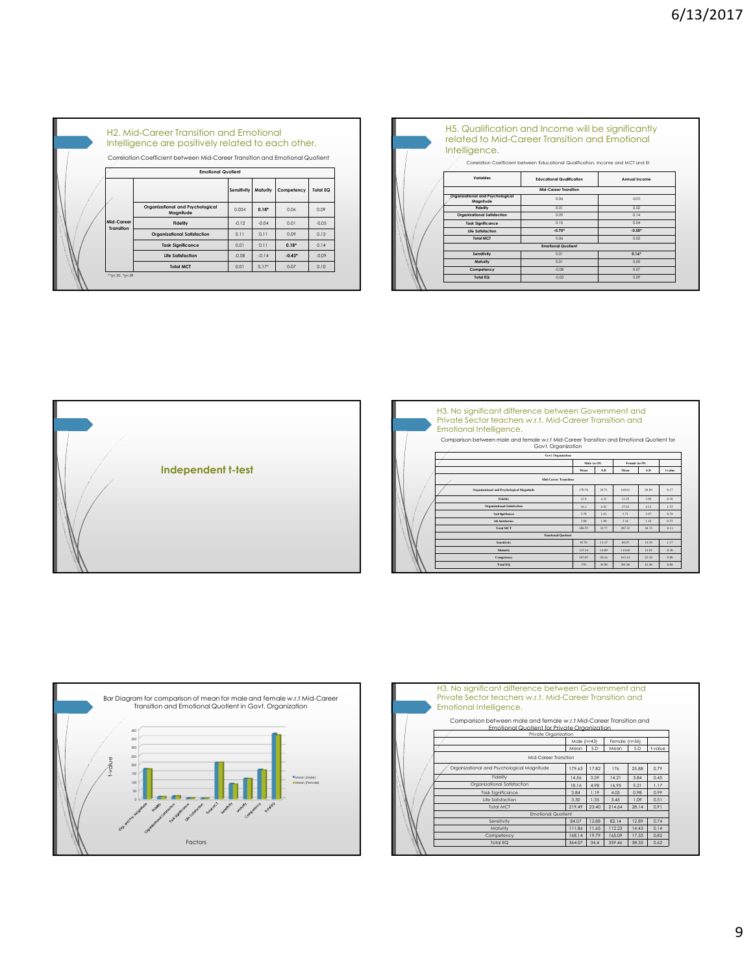|                          | H <sub>2</sub> . Mid-Career Transition and Emotional<br>Intelligence are positively related to each other. |             |          |            |                 |
|--------------------------|------------------------------------------------------------------------------------------------------------|-------------|----------|------------|-----------------|
|                          | Correlation Coefficient between Mid-Career Transition and Emotional Quotient                               |             |          |            |                 |
|                          | <b>Emotional Quotient</b>                                                                                  |             |          |            |                 |
|                          |                                                                                                            | Sensitivity | Maturity | Competency | <b>Total EQ</b> |
|                          | Organizational and Psychological<br>Magnitude                                                              | 0.004       | $0.18*$  | 0.06       | 0.09            |
| Mid-Career<br>Transition | <b>Fidelity</b>                                                                                            | $-0.12$     | $-0.04$  | 0.01       | $-0.05$         |
|                          | Organizational Satisfaction                                                                                | 011         | 011      | 0.09       | 0.13            |
|                          | <b>Task Significance</b>                                                                                   | 0.01        | 011      | $0.18*$    | 014             |
|                          | <b>Life Satisfaction</b>                                                                                   | $-0.08$     | $-0.14$  | $-0.43*$   | $-0.09$         |
|                          | <b>Total MCT</b>                                                                                           | 0.01        | $0.17*$  | 0.07       | 0.10            |

| H <sub>5</sub> . Qualification and Income will be significantly<br>related to Mid-Career Transition and Emotional<br>Intelligence. | Correlation Coefficient between Educational Qualification, Income and MCT and El |               |
|------------------------------------------------------------------------------------------------------------------------------------|----------------------------------------------------------------------------------|---------------|
| Variables                                                                                                                          | <b>Educational Qualification</b>                                                 | Annual Income |
|                                                                                                                                    | Mid-Career Transition                                                            |               |
| Organizational and Psychological<br>Magnitude                                                                                      | 0.06                                                                             | $-0.01$       |
| Fidelity                                                                                                                           | 001                                                                              | 0.02          |
| Organizational Satisfaction                                                                                                        | 0.09                                                                             | 014           |
| <b>Task Sianificance</b>                                                                                                           | 0.10                                                                             | 0.04          |
| Life Satisfaction                                                                                                                  | $-0.70*$                                                                         | $-0.50*$      |
| <b>Total MCT</b>                                                                                                                   | 0.06                                                                             | 0.02          |
|                                                                                                                                    | <b>Emotional Quotient</b>                                                        |               |
| Sensifivity                                                                                                                        | 0.01                                                                             | $0.16*$       |
| Maturity                                                                                                                           | 0.01                                                                             | 0.001         |
| Competency                                                                                                                         | $-0.08$                                                                          | 0.07          |
| <b>Total EQ</b>                                                                                                                    | $-0.03$                                                                          | 0.09          |



|  | H3. No significant difference between Government and<br>Private Sector teachers w.r.t. Mid-Career Transition and<br>Emotional Intelligence.<br>Comparison between male and female w.r.t Mid-Career Transition and Emotional Quotient for<br>Govt. Organization |                              |       |        |       |        |  |  |
|--|----------------------------------------------------------------------------------------------------------------------------------------------------------------------------------------------------------------------------------------------------------------|------------------------------|-------|--------|-------|--------|--|--|
|  | <b>Govt. Organization</b>                                                                                                                                                                                                                                      | Male (n=29)<br>Female (n=59) |       |        |       |        |  |  |
|  |                                                                                                                                                                                                                                                                | Mean                         | S.D   | Meson  | S.D   | Lyslae |  |  |
|  | <b>Mid.Career Transition</b>                                                                                                                                                                                                                                   |                              |       |        |       |        |  |  |
|  | Organizational and Psychological Magnitude                                                                                                                                                                                                                     | 170.76                       | 29.71 | 169.61 | 28.89 | 0.17   |  |  |
|  | Fidelity                                                                                                                                                                                                                                                       | 12.9                         | 4.23  | 13.25  | 3.99  | 0.39   |  |  |
|  | <b>Organizational Satisfaction</b>                                                                                                                                                                                                                             | 16.1                         | 4.83  | 17.63  | 4.12  | 153    |  |  |
|  | <b>Task Similicance</b>                                                                                                                                                                                                                                        | 3.79                         | 1.01  | 3.71   | 1.07  | 0.34   |  |  |
|  | Life Satisfaction                                                                                                                                                                                                                                              | 3.00                         | 1.00  | 3.14   | 1.18  | 0.53   |  |  |
|  | <b>Total MCT</b>                                                                                                                                                                                                                                               | 206.55                       | 32.77 | 207.32 | 30.73 | 0.11   |  |  |
|  | <b>Emotional Quotient</b>                                                                                                                                                                                                                                      |                              |       |        |       |        |  |  |
|  | <b>Sensitivity</b>                                                                                                                                                                                                                                             | 87.59                        | 11.15 | 84.07  | 14.19 | 1.17   |  |  |
|  | Maturity                                                                                                                                                                                                                                                       | 115.34                       | 14.89 | 114.66 | 14.62 | 0.20   |  |  |
|  | Competency                                                                                                                                                                                                                                                     | 167.07                       | 20.16 | 163.14 | 22.18 | 0.80   |  |  |
|  | <b>Total EO</b>                                                                                                                                                                                                                                                | 370                          | 36.98 | 361.86 | 42.46 | 0.88   |  |  |



| H3. No significant difference between Government and<br>Private Sector teachers w.r.t. Mid-Career Transition and<br>Emotional Intelligence. |               |       |               |       |         |
|---------------------------------------------------------------------------------------------------------------------------------------------|---------------|-------|---------------|-------|---------|
| Comparison between male and female w.r.t Mid-Career Transition and<br>Emotional Quotient for Private Organization<br>Private Oraanization   |               |       |               |       |         |
|                                                                                                                                             | Male $(n=43)$ |       | Female (n=56) |       |         |
|                                                                                                                                             | Mean          | S.D   | Mean          | S.D   | t-value |
| Mid-Career Transition                                                                                                                       |               |       |               |       |         |
| Organizational and Psychological Magnitude                                                                                                  | 179.63        | 1782  | 176           | 25.88 | 0.79    |
| Fidelity                                                                                                                                    | 14.56         | 3.59  | 14 21         | 3.84  | 0.45    |
| Organizational Satisfaction                                                                                                                 | 1816          | 498   | 1695          | 5.21  | 117     |
| <b>Task Sianificance</b>                                                                                                                    | 3.84          | 1.19  | 4.05          | 0.98  | 0.99    |
| Life Satisfaction                                                                                                                           | 3.30          | 1.35  | 3.45          | 1.09  | 0.51    |
| <b>Total MCT</b>                                                                                                                            | 219.49        | 23.40 | 214.64        | 28.14 | 0.91    |
| <b>Emotional Quotient</b>                                                                                                                   |               |       |               |       |         |
| Sensitivity                                                                                                                                 | 84.07         | 12.88 | 8214          | 12.89 | 0.74    |
| Maturity                                                                                                                                    | 111.86        | 11.65 | 112.23        | 14.43 | 014     |
| Competency                                                                                                                                  | 168.14        | 19.79 | 165.09        | 17.33 | 0.82    |
| <b>Total EQ</b>                                                                                                                             | 364.07        | 34.4  | 359.46        | 38.35 | 0.62    |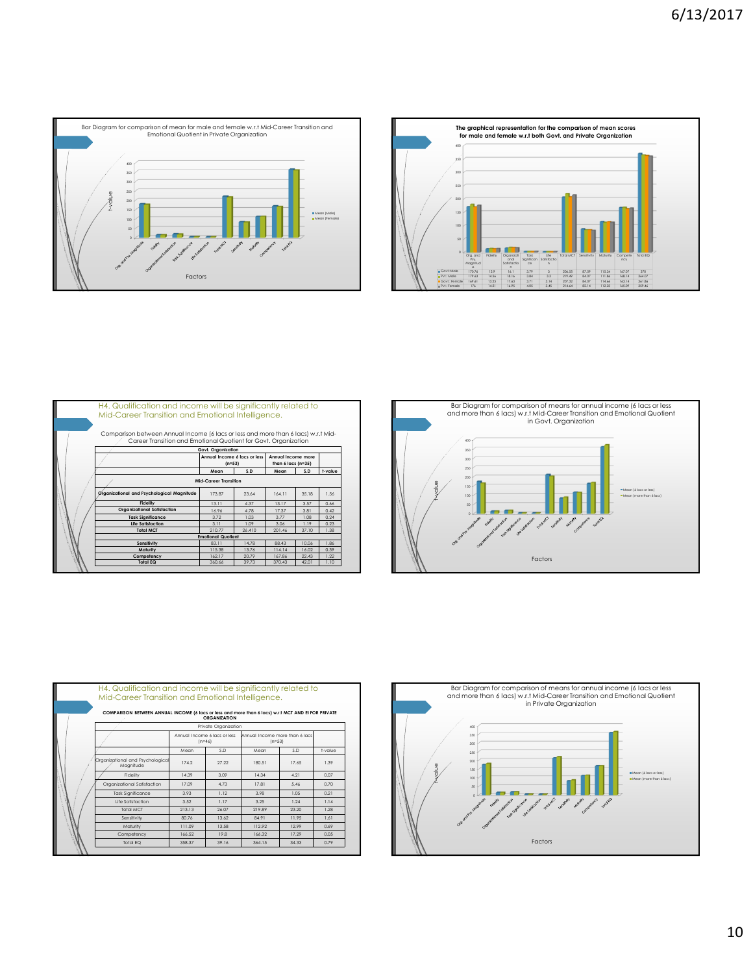



|  | H4. Qualification and income will be significantly related to<br>Mid-Career Transition and Emotional Intelligence.<br>Comparison between Annual Income (6 lacs or less and more than 6 lacs) w.r.t Mid- |                                          |        |                                          |       |         |  |
|--|---------------------------------------------------------------------------------------------------------------------------------------------------------------------------------------------------------|------------------------------------------|--------|------------------------------------------|-------|---------|--|
|  | Career Transition and Emotional Quotient for Govt. Organization                                                                                                                                         |                                          |        |                                          |       |         |  |
|  |                                                                                                                                                                                                         | Govt. Organization                       |        |                                          |       |         |  |
|  |                                                                                                                                                                                                         | Annual Income 6 lacs or less<br>$(n=53)$ |        | Annual Income more<br>than 6 lacs (n=35) |       |         |  |
|  |                                                                                                                                                                                                         | Mean                                     | S.D    | Mean                                     | S.D   | t-value |  |
|  | Mid-Career Transition                                                                                                                                                                                   |                                          |        |                                          |       |         |  |
|  | Organizational and Psychological Magnitude                                                                                                                                                              | 17387                                    | 23.64  | 164 11                                   | 35 18 | 1.56    |  |
|  | Fidelity                                                                                                                                                                                                | 1311                                     | 4.37   | 1317                                     | 3.57  | 0.66    |  |
|  | <b>Organizational Satisfaction</b>                                                                                                                                                                      | 16.96                                    | 478    | 1737                                     | 3.81  | 0.42    |  |
|  | <b>Task Significance</b>                                                                                                                                                                                | 3.72                                     | 1.03   | 3.77                                     | 1.08  | 0.24    |  |
|  | Life Satisfaction                                                                                                                                                                                       | 3 1 1                                    | 1.09   | 3.06                                     | 119   | 0.23    |  |
|  | <b>Total MCT</b>                                                                                                                                                                                        | 210.77                                   | 26.410 | 201.46                                   | 37.10 | 1.38    |  |
|  |                                                                                                                                                                                                         | <b>Emotional Quotient</b>                |        |                                          |       |         |  |
|  | Sensitivity                                                                                                                                                                                             | 8311                                     | 1478   | 88.43                                    | 10.06 | 1.86    |  |
|  | Maturity                                                                                                                                                                                                | 115.38                                   | 1376   | 11414                                    | 16.02 | 0.39    |  |
|  | Competency                                                                                                                                                                                              | 162.17                                   | 20.79  | 167.86                                   | 22.43 | 1.22    |  |
|  | <b>Total EQ</b>                                                                                                                                                                                         | 360.66                                   | 39 73  | 370 43                                   | 42.01 | 110     |  |



|  | COMPARISON BETWEEN ANNUAL INCOME (6 lacs or less and more than 6 lacs) w.r.t MCT AND EI FOR PRIVATE |        | <b>ORGANIZATION</b>                      |                                            |       |         |
|--|-----------------------------------------------------------------------------------------------------|--------|------------------------------------------|--------------------------------------------|-------|---------|
|  |                                                                                                     |        | Private Oraanization                     |                                            |       |         |
|  |                                                                                                     |        | Annual Income 6 lacs or less<br>$(n=46)$ | Annual Income more than 6 lacs<br>$(n=53)$ |       |         |
|  |                                                                                                     | Mean   | S.D                                      | Mean                                       | S.D   | t-value |
|  | Organizational and Psychological<br>Maanitude                                                       | 174.2  | 27.22                                    | 180.51                                     | 17.65 | 1.39    |
|  | Fidelity                                                                                            | 14.39  | 3.09                                     | 14.34                                      | 4.21  | 0.07    |
|  | Organizational Satisfaction                                                                         | 17.09  | 4.73                                     | 17.81                                      | 5.46  | 0.70    |
|  | <b>Task Sianificance</b>                                                                            | 393    | 112                                      | 3.98                                       | 1.05  | 0.21    |
|  | Life Satisfaction                                                                                   | 3.52   | 1.17                                     | 3.25                                       | 1.24  | 1.14    |
|  | Total MCT                                                                                           | 213.13 | 26.07                                    | 21989                                      | 23.20 | 1.28    |
|  | Sensitivity                                                                                         | 80.76  | 13.62                                    | 84.91                                      | 11.95 | 1.61    |
|  | Maturity                                                                                            | 111.09 | 13.58                                    | 112.92                                     | 12.99 | 0.69    |
|  | Competency                                                                                          | 166.52 | 19.8                                     | 166.32                                     | 17.29 | 0.05    |
|  | <b>Total EQ</b>                                                                                     | 358.37 | 39.16                                    | 364.15                                     | 34.33 | 0.79    |

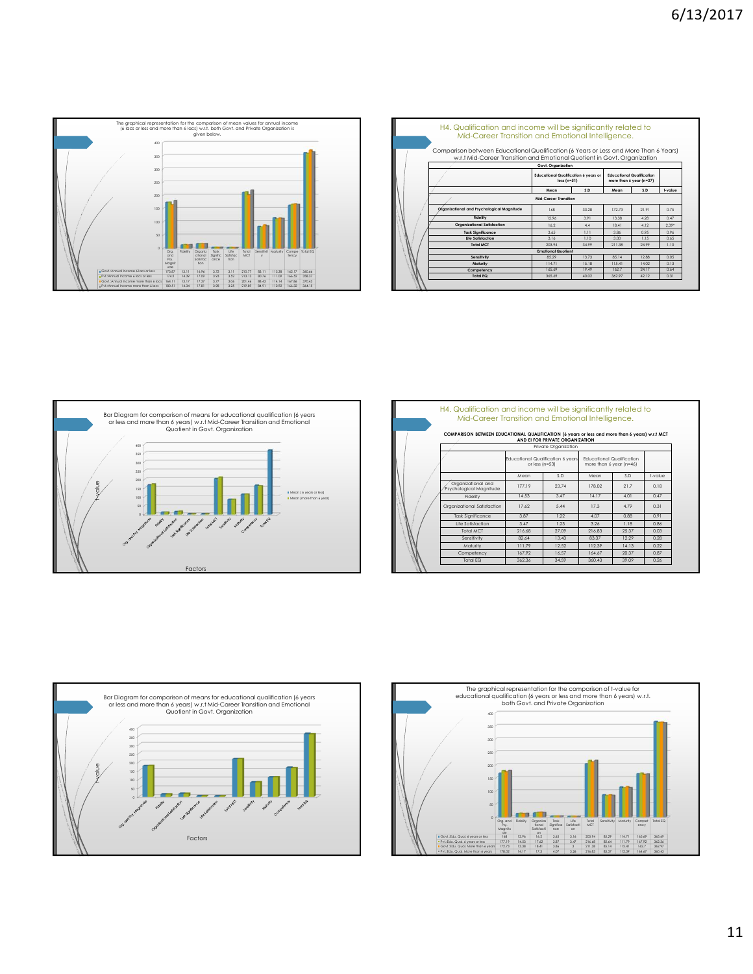

| H4. Qualification and income will be significantly related to<br>Mid-Career Transition and Emotional Intelligence.<br>Comparison between Educational Qualification (6 Years or Less and More Than 6 Years) |                                                                                   |       |                                                             |       |         |  |  |  |
|------------------------------------------------------------------------------------------------------------------------------------------------------------------------------------------------------------|-----------------------------------------------------------------------------------|-------|-------------------------------------------------------------|-------|---------|--|--|--|
| w.r.t Mid-Career Transition and Emotional Quotient in Govt. Organization                                                                                                                                   |                                                                                   |       |                                                             |       |         |  |  |  |
|                                                                                                                                                                                                            | Govt. Organization<br><b>Educational Qualification 6 years or</b><br>$less(n=51)$ |       | <b>Educational Qualification</b><br>more than 6 year (n=37) |       |         |  |  |  |
|                                                                                                                                                                                                            | Mean                                                                              | S.D   | Mean                                                        | S.D.  | t-value |  |  |  |
| Mid-Career Transition                                                                                                                                                                                      |                                                                                   |       |                                                             |       |         |  |  |  |
| Organizational and Psychological Magnitude                                                                                                                                                                 | 168                                                                               | 33.28 | 172.73                                                      | 21.91 | 0.75    |  |  |  |
| Fidelity                                                                                                                                                                                                   | 12.96                                                                             | 3.91  | 13.38                                                       | 4.28  | 0.47    |  |  |  |
| <b>Organizational Satisfaction</b>                                                                                                                                                                         | 162                                                                               | 44    | 18.41                                                       | 412   | $2.39*$ |  |  |  |
| <b>Task Significance</b>                                                                                                                                                                                   | 3.65                                                                              | 111   | 3.86                                                        | 0.95  | AP 0    |  |  |  |
| <b>Life Satisfaction</b>                                                                                                                                                                                   | 3.16                                                                              | 110   | 3.00                                                        | 115   | 0.65    |  |  |  |
| <b>Total MCT</b>                                                                                                                                                                                           | 203.94                                                                            | 34.99 | 211.38                                                      | 24.99 | 110     |  |  |  |
|                                                                                                                                                                                                            | <b>Emotional Quotient</b>                                                         |       |                                                             |       |         |  |  |  |
| Sensitivity                                                                                                                                                                                                | 85.29                                                                             | 1373  | 8514                                                        | 12.88 | 0.05    |  |  |  |
| Maturity                                                                                                                                                                                                   | 11471                                                                             | 1518  | 115.41                                                      | 14.02 | 0.13    |  |  |  |
| Competency                                                                                                                                                                                                 | 165.69                                                                            | 19.49 | 162.7                                                       | 24.17 | 0.64    |  |  |  |
| <b>Total EQ</b>                                                                                                                                                                                            | 365.69                                                                            | 40.02 | 362.97                                                      | 42.12 | 0.31    |  |  |  |



|  | H4. Qualification and income will be significantly related to<br>Mid-Career Transition and Emotional Intelligence. |        |                                                                                                                    |        |                |          |
|--|--------------------------------------------------------------------------------------------------------------------|--------|--------------------------------------------------------------------------------------------------------------------|--------|----------------|----------|
|  | COMPARISON BETWEEN EDUCATIONAL QUALIFICATION (6 years or less and more than 6 years) w.r.t MCT                     |        | AND ELFOR PRIVATE ORGANIZATION                                                                                     |        |                |          |
|  |                                                                                                                    |        | Private Organization                                                                                               |        |                |          |
|  |                                                                                                                    |        | Educational Qualification 6 years<br><b>Educational Qualification</b><br>or less (n=53)<br>more than 6 year (n=46) |        |                |          |
|  |                                                                                                                    | Mean   | S <sub>D</sub>                                                                                                     | Mean   | S <sub>D</sub> | t-value. |
|  | Organizational and<br>Psychological Maanitude                                                                      | 177 19 | 2374                                                                                                               | 178.02 | 217            | 018      |
|  | Fidelity                                                                                                           | 14.53  | 3.47                                                                                                               | 1417   | 4.01           | 0.47     |
|  | Organizational Satisfaction                                                                                        | 17.62  | 5.44                                                                                                               | 173    | 479            | 0.31     |
|  | <b>Task Significance</b>                                                                                           | 3.87   | 122                                                                                                                | 4.07   | 0.88           | 0.91     |
|  | Life Satisfaction                                                                                                  | 3.47   | 123                                                                                                                | 3.26   | 118            | 0.86     |
|  | Total MCT                                                                                                          | 216.68 | 27.09                                                                                                              | 21683  | 25.37          | 0.03     |
|  | Sensitivity                                                                                                        | 82.64  | 13.43                                                                                                              | 83.37  | 12.29          | 0.28     |
|  | Maturity                                                                                                           | 11179  | 12.52                                                                                                              | 112.39 | 1413           | 0.22     |
|  | Competency                                                                                                         | 16792  | 16.57                                                                                                              | 164.67 | 20.37          | 0.87     |
|  | Total EQ                                                                                                           | 362.36 | 34.59                                                                                                              | 360.43 | 39 09          | 0.26     |



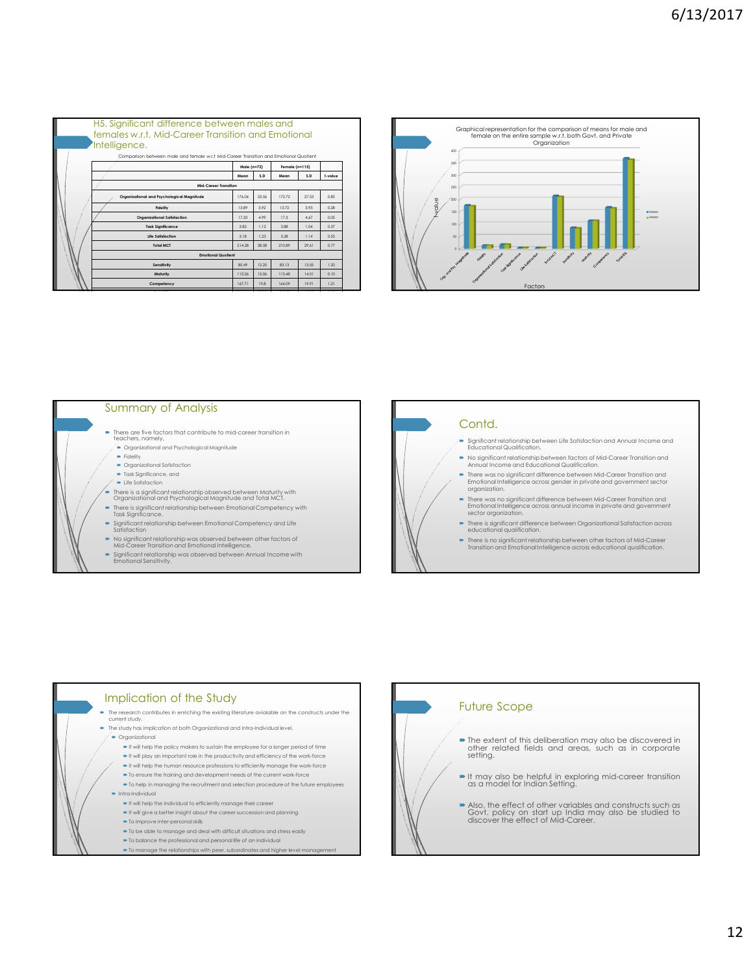| H <sub>5</sub> . Significant difference between males and<br>females w.r.t. Mid-Career Transition and Emotional |        |       |        |                |         |  |  |  |  |
|-----------------------------------------------------------------------------------------------------------------|--------|-------|--------|----------------|---------|--|--|--|--|
| Intelligence.                                                                                                   |        |       |        |                |         |  |  |  |  |
| Comparison between male and female w.r.t Mid-Career Transition and Emotional Quotient                           |        |       |        |                |         |  |  |  |  |
| Male (n=72)<br>Female (n=115)                                                                                   |        |       |        |                |         |  |  |  |  |
|                                                                                                                 | Mean   | SD.   | Mean   | S <sub>D</sub> | t-value |  |  |  |  |
| Mid-Career Transition                                                                                           |        |       |        |                |         |  |  |  |  |
| Organizational and Psychological Magnitude                                                                      | 176.06 | 23.56 | 17272  | 27.53          | 0.85    |  |  |  |  |
| Fidelity                                                                                                        | 13.89  | 3.92  | 13.72  | 3.93           | 0.28    |  |  |  |  |
| Organizational Satisfaction                                                                                     | 17.33  | 4.99  | 173    | 4.67           | 0.05    |  |  |  |  |
| <b>Task Significance</b>                                                                                        | 3.82   | 112   | 3.88   | 1.04           | 0.37    |  |  |  |  |
| Life Satisfaction                                                                                               | 3.18   | 1.23  | 3.28   | 1.14           | 0.55    |  |  |  |  |
| <b>Total MCT</b>                                                                                                | 214.28 | 28.08 | 210.89 | 29.61          | 0.77    |  |  |  |  |
| <b>Emotional Quotient</b>                                                                                       |        |       |        |                |         |  |  |  |  |
| Sensitivity                                                                                                     | 85.49  | 12.25 | 8313   | 13.55          | 1.20    |  |  |  |  |
| Maturity                                                                                                        | 113.26 | 13.06 | 113.48 | 14.51          | 0.10    |  |  |  |  |

**Competency** 167.71 19.8 164.09 19.91 1.21



## Summary of Analysis

- There are five factors that contribute to mid-career transition in teachers, namely,
	- Organizational and Psychological Magnitude
	- $\blacksquare$  Fidelity Organizational Satisfaction
	- Task Significance, and
- **D** Life Satisfaction
- 
- 
- There is a significant relationship observed between Maturity with Organizational and Psychological Magnitude and Total MCT. There is significant relationship between Emotional Competency with Task Significance.
- Significant relationship between Emotional Competency and Life Satisfaction
- No significant relationship was observed between other factors of Mid-Career Transition and Emotional Intelligence.
- Significant relationship was observed between Annual Income with Emotional Sensitivity.

## Contd.

- Significant relationship between Life Satisfaction and Annual Income and Educational Qualification.
- No significant relationship between factors of Mid-Career Transition and Annual Income and Educational Qualification. There was no significant difference between Mid-Career Transition and
- Emotional Intelligence across gender in private and government sector organization.
- There was no significant difference between Mid-Career Transition and Emotional Intelligence across annual income in private and government sector organization.
- There is significant difference between Organizational Satisfaction across educational qualification.
- There is no significant relationship between other factors of Mid-Career Transition and Emotional Intelligence across educational qualification.



- To be able to manage and deal with difficult situations and stress easily
- To balance the professional and personal life of an individual
- $\blacksquare$  To manage the relationships with peer, subordinates and higher level

Future Scope  $\blacksquare$  The extent of this deliberation may also be discovered in other related fields and areas, such as in corporate setting. It may also be helpful in exploring mid-career transition as a model for Indian Setting. Also, the effect of other variables and constructs such as Govt. policy on start up India may also be studied to discover the effect of Mid-Career.